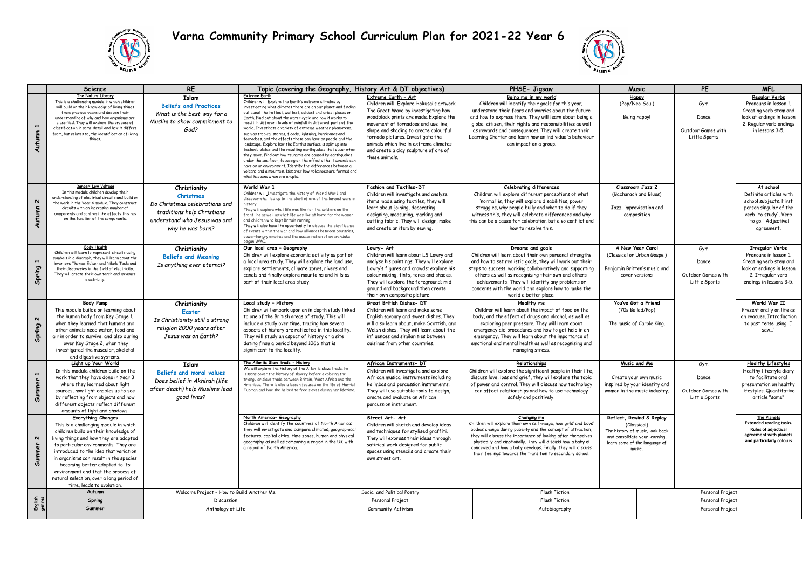

## **Varna Community Primary School Curriculum Plan for 2021-22 Year 6**



|                                    | <b>Science</b>                                                                                      | <b>RE</b>                                                               | Topic (covering the Geography, History Art & DT objectives)                                                                                      |                              | PHSE- Jigsaw                                                                       | Music                                                                                                                        | PE                                                            | <b>MFL</b>         |                                                       |
|------------------------------------|-----------------------------------------------------------------------------------------------------|-------------------------------------------------------------------------|--------------------------------------------------------------------------------------------------------------------------------------------------|------------------------------|------------------------------------------------------------------------------------|------------------------------------------------------------------------------------------------------------------------------|---------------------------------------------------------------|--------------------|-------------------------------------------------------|
|                                    | The Nature Library                                                                                  | Islam                                                                   | <b>Extreme Earth</b>                                                                                                                             |                              | Extreme Earth - Art                                                                | Being me in my world                                                                                                         | <b>Happy</b>                                                  |                    | Regular Verbs                                         |
| $\blacksquare$<br>Autumn           | This is a challenging module in which children<br>will build on their knowledge of living things    | <b>Beliefs and Practices</b>                                            | Children will: Explore the Earth's extreme climates by<br>investigating what climates there are on our planet and finding                        |                              | Children will: Explore Hokusai's artwork                                           | Children will identify their goals for this year;                                                                            | (Pop/Neo-Soul)                                                | Gvm                | Pronouns in lesson 1.                                 |
|                                    | from previous years and deepen their                                                                | What is the best way for a                                              | out about the hottest, wettest, coldest and driest places on                                                                                     |                              | The Great Wave by investigating how                                                | understand their fears and worries about the future                                                                          |                                                               |                    | Creating verb stem and                                |
|                                    | understanding of why and how organisms are                                                          | Muslim to show commitment to                                            | Earth. Find out about the water cycle and how it works to<br>result in different levels of rainfall in different parts of the                    |                              | woodblock prints are made. Explore the                                             | and how to express them. They will learn about being a                                                                       | Being happy!                                                  | Dance              | look at endings in lesson                             |
|                                    | classified. They will explore the process of<br>classification in some detail and how it differs    | God?                                                                    | world. Investigate a variety of extreme weather phenomena,                                                                                       |                              | movement of tornadoes and use line.                                                | global citizen, their rights and responsibilities as well                                                                    |                                                               | Outdoor Games with | 2. Regular verb endings<br>in lessons 3-5.            |
|                                    | from, but relates to, the identification of living                                                  |                                                                         | such as tropical storms, floods, lightning, hurricanes and                                                                                       |                              | shape and shading to create colourful<br>tornado pictures. Investigate the         | as rewards and consequences. They will create their<br>Learning Charter and learn how an individual's behaviour              |                                                               | Little Sports      |                                                       |
|                                    | things.                                                                                             |                                                                         | tornadoes, and the effects these can have on people and the<br>landscape. Explore how the Earth's surface is split up into                       |                              | animals which live in extreme climates                                             | can impact on a group.                                                                                                       |                                                               |                    |                                                       |
|                                    |                                                                                                     |                                                                         | tectonic plates and the resulting earthquakes that occur when                                                                                    |                              | and create a clay sculpture of one of                                              |                                                                                                                              |                                                               |                    |                                                       |
|                                    |                                                                                                     |                                                                         | they move. Find out how tsunamis are caused by earthquakes<br>under the sea floor, focusing on the effects that tsunamis can                     |                              | these animals.                                                                     |                                                                                                                              |                                                               |                    |                                                       |
|                                    |                                                                                                     |                                                                         | have on an environment. Identify the differences between a                                                                                       |                              |                                                                                    |                                                                                                                              |                                                               |                    |                                                       |
|                                    |                                                                                                     |                                                                         | volcano and a mountain. Discover how volcanoes are formed and<br>what hannens when one erunts                                                    |                              |                                                                                    |                                                                                                                              |                                                               |                    |                                                       |
|                                    | Danger! Low Voltage                                                                                 |                                                                         |                                                                                                                                                  |                              |                                                                                    |                                                                                                                              |                                                               |                    |                                                       |
| $\sim$                             | In this module children develop their                                                               | Christianity                                                            | World War 1<br>Children will Investigate the history of World War 1 and                                                                          |                              | Fashion and Textiles-DT<br>Children will investigate and analyse                   | <b>Celebrating differences</b><br>Children will explore different perceptions of what                                        | Classroom Jazz 2<br>(Bacharach and Blues)                     |                    | At school<br>Definite articles with                   |
|                                    | understanding of electrical circuits and build on<br>the work in the Year 4 module. They construct  | Christmas                                                               | discover what led up to the start of one of the largest wars in                                                                                  |                              | items made using textiles, they will                                               | 'normal' is, they will explore disabilities, power                                                                           |                                                               |                    | school subjects, First                                |
|                                    | circuits with an increasing number of                                                               | Do Christmas celebrations and                                           | history<br>They will explore what life was like for the soldiers on the                                                                          |                              | learn about joining, decorating                                                    | struggles, why people bully and what to do if they                                                                           | Jazz, improvisation and                                       |                    | person singular of the                                |
| Autumn                             | components and contrast the effects this has                                                        | traditions help Christians                                              | front line as well as what life was like at home for the women                                                                                   |                              | designing, measuring, marking and                                                  | witness this, they will celebrate differences and why                                                                        | composition                                                   |                    | verb 'to study'. Verb                                 |
|                                    | on the function of the components.                                                                  | understand who Jesus was and                                            | and children who kept Britain running.<br>They will also have the opportunity to discuss the significance                                        |                              | cutting fabric. They will design, make                                             | this can be a cause for celebration but also conflict and                                                                    |                                                               |                    | 'to go,' Adjectival                                   |
|                                    |                                                                                                     | why he was born?                                                        | of events within the war and how alliances between countries,                                                                                    |                              | and create an item by sewing.                                                      | how to resolve this.                                                                                                         |                                                               |                    | agreement.                                            |
|                                    |                                                                                                     | power-hungry empires and the assassination of an archduke<br>began WWI. |                                                                                                                                                  |                              |                                                                                    |                                                                                                                              |                                                               |                    |                                                       |
|                                    | <b>Body Health</b>                                                                                  | Christianity                                                            | Our local area - Geography                                                                                                                       |                              | Lowry- Art                                                                         | Dreams and goals                                                                                                             | A New Year Carol                                              | Gym                | <b>Irregular Verbs</b>                                |
| $\overline{\phantom{a}}$<br>Spring | Children will learn to represent circuits using<br>symbols in a diagraph, they will learn about the | <b>Beliefs and Meaning</b>                                              | Children will explore economic activity as part of                                                                                               |                              | Children will learn about LS Lowry and                                             | Children will learn about their own personal strengths                                                                       | (Classical or Urban Gospel)                                   |                    | Pronouns in lesson 1.                                 |
|                                    | inventors Thomas Edison and Nikola Tesla and                                                        | Is anything ever eternal?                                               | a local area study. They will explore the land use,                                                                                              |                              | analyse his paintings. They will explore                                           | and how to set realistic goals, they will work out their                                                                     |                                                               | Dance              | Creating verb stem and                                |
|                                    | their discoveries in the field of electricity.<br>They will create their own torch and measure      |                                                                         | explore settlements, climate zones, rivers and<br>canals and finally explore mountains and hills as                                              |                              | Lowry's figures and crowds; explore his<br>colour mixing, tints, tones and shades. | steps to success, working collaboratively and supporting<br>others as well as recognising their own and others'              | Benjamin Britten's music and<br>cover versions                | Outdoor Games with | look at endings in lesson<br>2. Irregular verb        |
|                                    | electricity.                                                                                        |                                                                         | part of their local area study.                                                                                                                  |                              | They will explore the foreground; mid-                                             | achievements. They will identify any problems or                                                                             |                                                               | Little Sports      | endings in lessons 3-5.                               |
|                                    |                                                                                                     |                                                                         |                                                                                                                                                  |                              | ground and background then create                                                  | concerns with the world and explore how to make the                                                                          |                                                               |                    |                                                       |
|                                    |                                                                                                     |                                                                         |                                                                                                                                                  | their own composite picture. | world a better place.                                                              |                                                                                                                              |                                                               |                    |                                                       |
|                                    | <b>Body Pump</b>                                                                                    | Christianity                                                            | Local study - History                                                                                                                            |                              | Great British Dishes- DT                                                           | Healthy me                                                                                                                   | You've Got a Friend                                           |                    | World War II                                          |
|                                    | This module builds on learning about                                                                | <b>Easter</b>                                                           | Children will embark upon an in depth study linked<br>to one of the British areas of study. This will                                            |                              | Children will learn and make some<br>English savoury and sweet dishes. They        | Children will learn about the impact of food on the<br>body, and the effect of drugs and alcohol, as well as                 | (70s Ballad/Pop)                                              |                    | Present orally on life as<br>an evacuee. Introduction |
| $\sim$                             | the human body from Key Stage 1,<br>when they learned that humans and                               | Is Christianity still a strong                                          | include a study over time, tracing how several                                                                                                   |                              | will also learn about, make Scottish, and                                          | exploring peer pressure. They will learn about                                                                               | The music of Carole King.                                     |                    | to past tense using 'I                                |
|                                    | other animals need water, food and                                                                  | religion 2000 years after                                               | aspects of history are reflected in this locality.<br>They will study an aspect of history or a site<br>dating from a period beyond 1066 that is |                              | Welsh dishes. They will learn about the                                            | emergency aid procedures and how to get help in an                                                                           |                                                               |                    | saw'                                                  |
| Spring                             | air in order to survive, and also during                                                            | Jesus was on Earth?                                                     |                                                                                                                                                  |                              | influences and similarities between                                                | emergency. They will learn about the importance of                                                                           |                                                               |                    |                                                       |
|                                    | lower Key Stage 2, when they                                                                        |                                                                         |                                                                                                                                                  |                              | cuisines from other countries.                                                     | emotional and mental health as well as recognising and                                                                       |                                                               |                    |                                                       |
|                                    | investigated the muscular, skeletal<br>and digestive systems.                                       |                                                                         | significant to the locality.                                                                                                                     |                              |                                                                                    | managing stress.                                                                                                             |                                                               |                    |                                                       |
|                                    | Light up Your World                                                                                 | <b>Islam</b>                                                            | The Atlantic Slave trade - History                                                                                                               |                              | African Instruments- DT                                                            | Relationships                                                                                                                | Music and Me                                                  | Gym                | <b>Healthy Lifestyles</b>                             |
| $\overline{\phantom{a}}$           | In this module children build on the                                                                | Beliefs and moral values                                                | We will explore the history of the Atlantic slave trade, he<br>lessons cover the history of slavery before exploring the                         |                              | Children will investigate and explore                                              | Children will explore the significant people in their life,                                                                  |                                                               |                    | Healthy lifestyle diary                               |
|                                    | work that they have done in Year 3                                                                  | Does belief in Akhirah (life                                            | triangular slave trade between Britain, West Africa and the                                                                                      |                              | African musical instruments including                                              | discuss love, loss and grief, they will explore the topic                                                                    | Create your own music                                         | Dance              | to facilitate oral                                    |
|                                    | where they learned about light<br>sources, how light enables us to see                              | after death) help Muslims lead                                          | Americas. There is also a lesson focused on the life of Harriet<br>Tubman and how she helped to free slaves during her lifetime.                 |                              | kalimbas and percussion instruments.<br>They will use suitable tools to design,    | of power and control. They will discuss how technology<br>can affect relationships and how to use technology                 | inspired by your identity and<br>women in the music industry. | Outdoor Games with | presentation on healthy<br>lifestyles. Quantitative   |
| Summer                             | by reflecting from objects and how                                                                  | good lives?                                                             |                                                                                                                                                  |                              | create and evaluate an African                                                     | safely and positively.                                                                                                       |                                                               | Little Sports      | article "some"                                        |
|                                    | different objects reflect different                                                                 |                                                                         |                                                                                                                                                  |                              | percussion instrument.                                                             |                                                                                                                              |                                                               |                    |                                                       |
|                                    | amounts of light and shadows.                                                                       |                                                                         |                                                                                                                                                  |                              |                                                                                    |                                                                                                                              |                                                               |                    |                                                       |
| $\sim$<br>Summer                   | <b>Everything Changes</b>                                                                           |                                                                         | North America- Geography<br>Children will identify the countries of North America;                                                               |                              | Street Art- Art                                                                    | Changing me<br>Children will explore their own self-image, how girls' and boys'                                              | Reflect, Rewind & Replay                                      |                    | <b>The Planets</b><br><b>Extended reading tasks.</b>  |
|                                    | This is a challenging module in which<br>children build on their knowledge of                       |                                                                         | they will investigate and compare climates, geographical                                                                                         |                              | Children will sketch and develop ideas<br>and techniques for stylised graffiti.    | bodies change during puberty and the concept of attraction,                                                                  | (Classical)<br>The history of music, look back                |                    | <b>Rules of adjectival</b>                            |
|                                    | living things and how they are adapted                                                              |                                                                         | features, capital cities, time zones, human and physical                                                                                         |                              | They will express their ideas through                                              | they will discuss the importance of looking after themselves                                                                 | and consolidate your learning,                                |                    | agreement with planets                                |
|                                    | to particular environments. They are                                                                |                                                                         | geography as well as comparing a region in the UK with<br>a region of North America.                                                             |                              | satirical work designed for public                                                 | physically and emotionally. They will discuss how a baby is<br>conceived and how a baby develops. Finally, they will discuss | learn some of the language of                                 |                    | and particularly colours                              |
|                                    | introduced to the idea that variation                                                               |                                                                         |                                                                                                                                                  |                              | spaces using stencils and create their                                             | their feelings towards the transition to secondary school.                                                                   | music                                                         |                    |                                                       |
|                                    | in organisms can result in the species                                                              |                                                                         |                                                                                                                                                  |                              | own street art.                                                                    |                                                                                                                              |                                                               |                    |                                                       |
|                                    | becoming better adapted to its<br>environment and that the process of                               |                                                                         |                                                                                                                                                  |                              |                                                                                    |                                                                                                                              |                                                               |                    |                                                       |
|                                    | natural selection, over a long period of                                                            |                                                                         |                                                                                                                                                  |                              |                                                                                    |                                                                                                                              |                                                               |                    |                                                       |
|                                    | time, leads to evolution.                                                                           |                                                                         |                                                                                                                                                  |                              |                                                                                    |                                                                                                                              |                                                               |                    |                                                       |
| English<br>nennes                  | Autumn                                                                                              | Welcome Project - How to Build Another Me                               |                                                                                                                                                  |                              | Social and Political Poetry                                                        | <b>Flash Fiction</b>                                                                                                         |                                                               | Personal Project   |                                                       |
|                                    | Spring                                                                                              | Discussion                                                              |                                                                                                                                                  |                              | Personal Project                                                                   | <b>Flash Fiction</b>                                                                                                         |                                                               | Personal Project   |                                                       |
|                                    | Summer                                                                                              | Anthology of Life                                                       |                                                                                                                                                  |                              | Community Activism                                                                 | Autobiography                                                                                                                |                                                               | Personal Project   |                                                       |